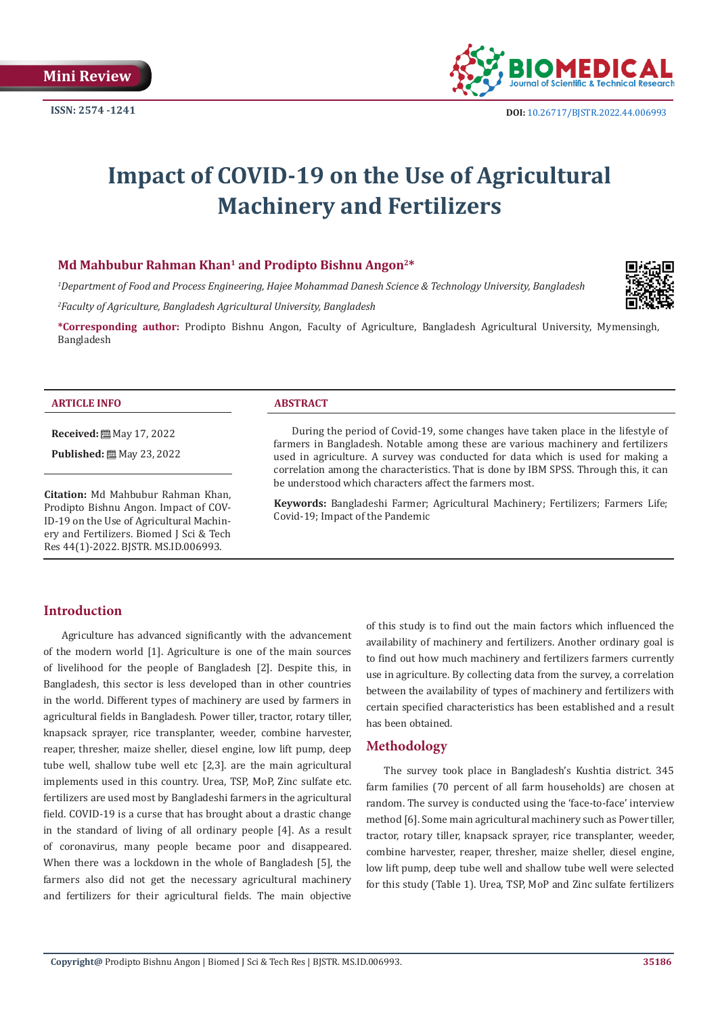

# **Impact of COVID-19 on the Use of Agricultural Machinery and Fertilizers**

# **Md Mahbubur Rahman Khan1 and Prodipto Bishnu Angon2\***

*1 Department of Food and Process Engineering, Hajee Mohammad Danesh Science & Technology University, Bangladesh 2 Faculty of Agriculture, Bangladesh Agricultural University, Bangladesh*



**\*Corresponding author:** Prodipto Bishnu Angon, Faculty of Agriculture, Bangladesh Agricultural University, Mymensingh, Bangladesh

#### **ARTICLE INFO ABSTRACT**

**Received:** May 17, 2022

**Published:** 圖 May 23, 2022

**Citation:** Md Mahbubur Rahman Khan, Prodipto Bishnu Angon. Impact of COV-ID-19 on the Use of Agricultural Machinery and Fertilizers. Biomed J Sci & Tech Res 44(1)-2022. BJSTR. MS.ID.006993.

During the period of Covid-19, some changes have taken place in the lifestyle of farmers in Bangladesh. Notable among these are various machinery and fertilizers used in agriculture. A survey was conducted for data which is used for making a correlation among the characteristics. That is done by IBM SPSS. Through this, it can be understood which characters affect the farmers most.

**Keywords:** Bangladeshi Farmer; Agricultural Machinery; Fertilizers; Farmers Life; Covid-19; Impact of the Pandemic

# **Introduction**

Agriculture has advanced significantly with the advancement of the modern world [1]. Agriculture is one of the main sources of livelihood for the people of Bangladesh [2]. Despite this, in Bangladesh, this sector is less developed than in other countries in the world. Different types of machinery are used by farmers in agricultural fields in Bangladesh. Power tiller, tractor, rotary tiller, knapsack sprayer, rice transplanter, weeder, combine harvester, reaper, thresher, maize sheller, diesel engine, low lift pump, deep tube well, shallow tube well etc [2,3]. are the main agricultural implements used in this country. Urea, TSP, MoP, Zinc sulfate etc. fertilizers are used most by Bangladeshi farmers in the agricultural field. COVID-19 is a curse that has brought about a drastic change in the standard of living of all ordinary people [4]. As a result of coronavirus, many people became poor and disappeared. When there was a lockdown in the whole of Bangladesh [5], the farmers also did not get the necessary agricultural machinery and fertilizers for their agricultural fields. The main objective

of this study is to find out the main factors which influenced the availability of machinery and fertilizers. Another ordinary goal is to find out how much machinery and fertilizers farmers currently use in agriculture. By collecting data from the survey, a correlation between the availability of types of machinery and fertilizers with certain specified characteristics has been established and a result has been obtained.

#### **Methodology**

The survey took place in Bangladesh's Kushtia district. 345 farm families (70 percent of all farm households) are chosen at random. The survey is conducted using the 'face-to-face' interview method [6]. Some main agricultural machinery such as Power tiller, tractor, rotary tiller, knapsack sprayer, rice transplanter, weeder, combine harvester, reaper, thresher, maize sheller, diesel engine, low lift pump, deep tube well and shallow tube well were selected for this study (Table 1). Urea, TSP, MoP and Zinc sulfate fertilizers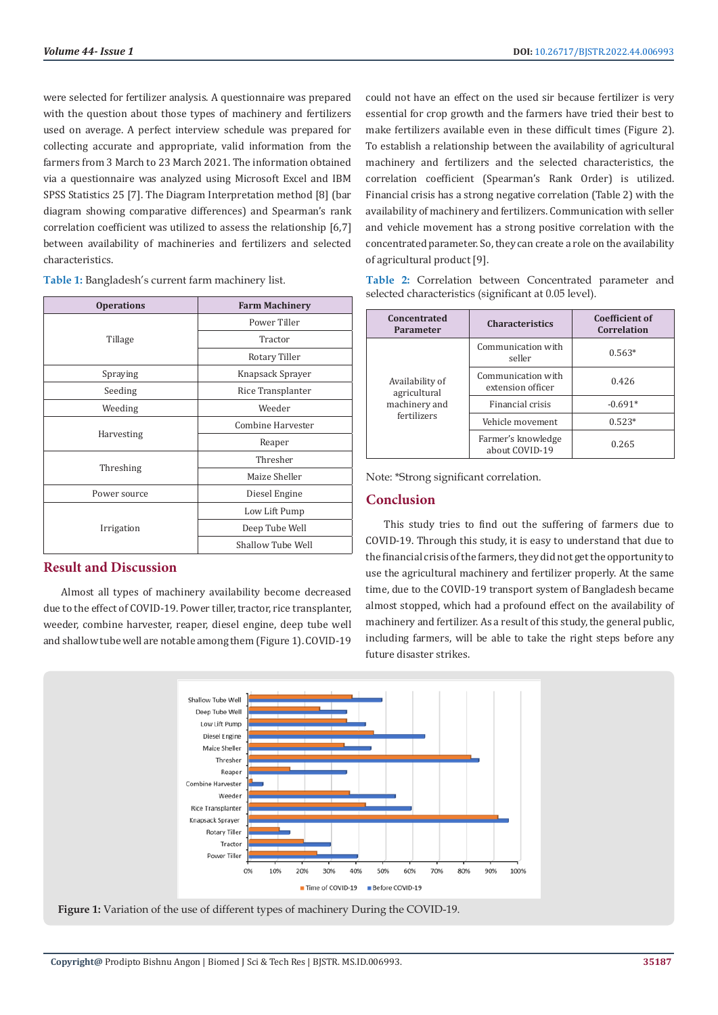were selected for fertilizer analysis. A questionnaire was prepared with the question about those types of machinery and fertilizers used on average. A perfect interview schedule was prepared for collecting accurate and appropriate, valid information from the farmers from 3 March to 23 March 2021. The information obtained via a questionnaire was analyzed using Microsoft Excel and IBM SPSS Statistics 25 [7]. The Diagram Interpretation method [8] (bar diagram showing comparative differences) and Spearman's rank correlation coefficient was utilized to assess the relationship [6,7] between availability of machineries and fertilizers and selected characteristics.

**Table 1:** Bangladesh's current farm machinery list.

| <b>Operations</b> | <b>Farm Machinery</b> |  |
|-------------------|-----------------------|--|
| Tillage           | Power Tiller          |  |
|                   | Tractor               |  |
|                   | Rotary Tiller         |  |
| Spraying          | Knapsack Sprayer      |  |
| Seeding           | Rice Transplanter     |  |
| Weeding           | Weeder                |  |
| Harvesting        | Combine Harvester     |  |
|                   | Reaper                |  |
| Threshing         | Thresher              |  |
|                   | Maize Sheller         |  |
| Power source      | Diesel Engine         |  |
| Irrigation        | Low Lift Pump         |  |
|                   | Deep Tube Well        |  |
|                   | Shallow Tube Well     |  |

# **Result and Discussion**

Almost all types of machinery availability become decreased due to the effect of COVID-19. Power tiller, tractor, rice transplanter, weeder, combine harvester, reaper, diesel engine, deep tube well and shallow tube well are notable among them (Figure 1). COVID-19 could not have an effect on the used sir because fertilizer is very essential for crop growth and the farmers have tried their best to make fertilizers available even in these difficult times (Figure 2). To establish a relationship between the availability of agricultural machinery and fertilizers and the selected characteristics, the correlation coefficient (Spearman's Rank Order) is utilized. Financial crisis has a strong negative correlation (Table 2) with the availability of machinery and fertilizers. Communication with seller and vehicle movement has a strong positive correlation with the concentrated parameter. So, they can create a role on the availability of agricultural product [9].

**Table 2:** Correlation between Concentrated parameter and selected characteristics (significant at 0.05 level).

| Concentrated<br>Parameter                                       | <b>Characteristics</b>                  | <b>Coefficient of</b><br>Correlation |
|-----------------------------------------------------------------|-----------------------------------------|--------------------------------------|
| Availability of<br>agricultural<br>machinery and<br>fertilizers | Communication with<br>seller            | $0.563*$                             |
|                                                                 | Communication with<br>extension officer | 0.426                                |
|                                                                 | Financial crisis                        | $-0.691*$                            |
|                                                                 | Vehicle movement                        | $0.523*$                             |
|                                                                 | Farmer's knowledge<br>about COVID-19    | 0.265                                |

Note: \*Strong significant correlation.

### **Conclusion**

This study tries to find out the suffering of farmers due to COVID-19. Through this study, it is easy to understand that due to the financial crisis of the farmers, they did not get the opportunity to use the agricultural machinery and fertilizer properly. At the same time, due to the COVID-19 transport system of Bangladesh became almost stopped, which had a profound effect on the availability of machinery and fertilizer. As a result of this study, the general public, including farmers, will be able to take the right steps before any future disaster strikes.